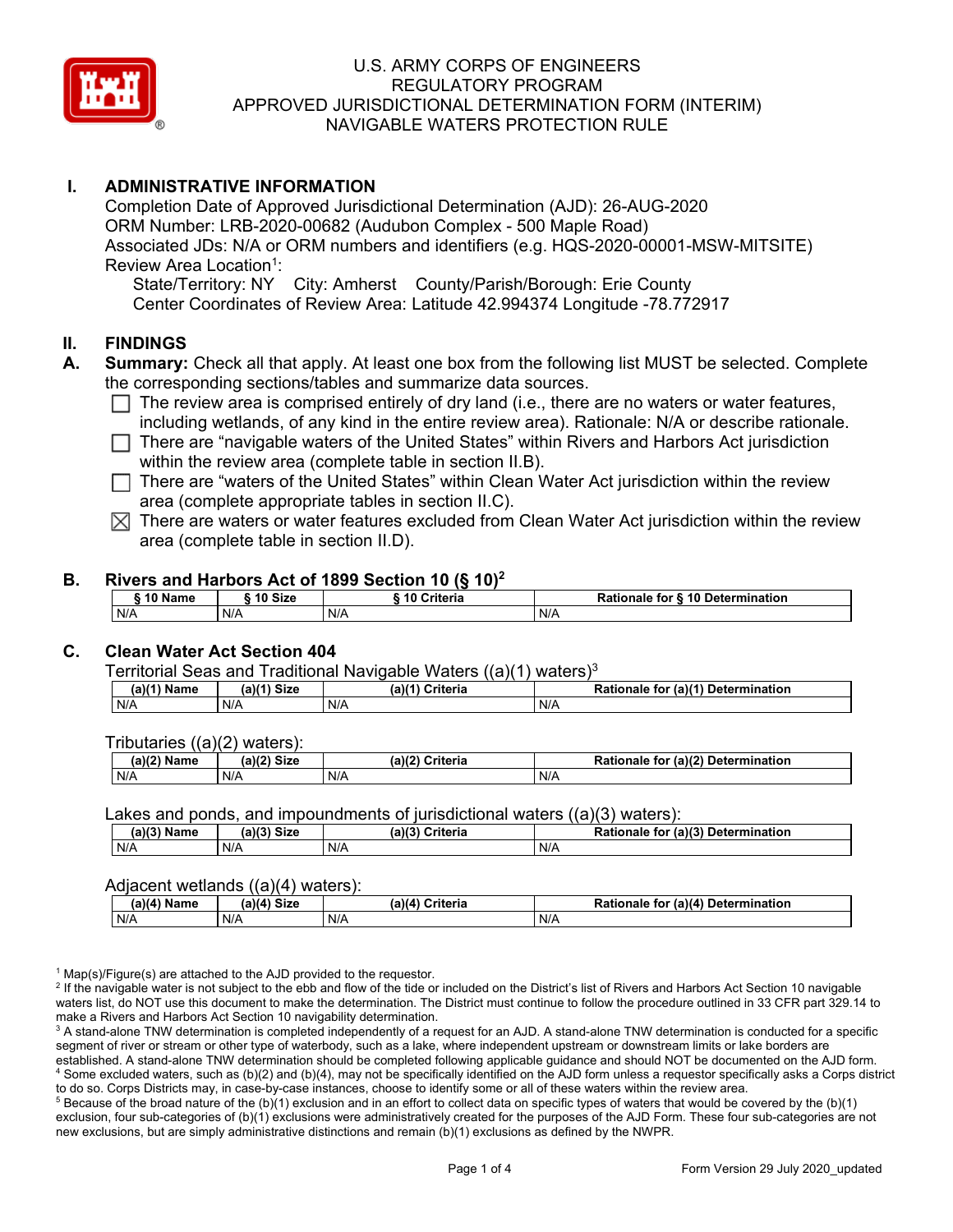

# **I. ADMINISTRATIVE INFORMATION**

Completion Date of Approved Jurisdictional Determination (AJD): 26-AUG-2020 ORM Number: LRB-2020-00682 (Audubon Complex - 500 Maple Road) Associated JDs: N/A or ORM numbers and identifiers (e.g. HQS-2020-00001-MSW-MITSITE) Review Area Location<sup>1</sup>:

State/Territory: NY City: Amherst County/Parish/Borough: Erie County Center Coordinates of Review Area: Latitude 42.994374 Longitude -78.772917

### **II. FINDINGS**

- **A. Summary:** Check all that apply. At least one box from the following list MUST be selected. Complete the corresponding sections/tables and summarize data sources.
	- $\Box$  The review area is comprised entirely of dry land (i.e., there are no waters or water features, including wetlands, of any kind in the entire review area). Rationale: N/A or describe rationale.
	- $\Box$  There are "navigable waters of the United States" within Rivers and Harbors Act jurisdiction within the review area (complete table in section II.B).
	- $\Box$  There are "waters of the United States" within Clean Water Act jurisdiction within the review area (complete appropriate tables in section II.C).
	- $\boxtimes$  There are waters or water features excluded from Clean Water Act jurisdiction within the review area (complete table in section II.D).

### **B. Rivers and Harbors Act of 1899 Section 10 (§ 10)2**

| ∍10 Name | 10 Size | ----------<br>____<br>Criteria<br>. 10 | Rationale for § 10 Determination |
|----------|---------|----------------------------------------|----------------------------------|
| N/A      | N/A     | N/A                                    | N/A                              |

### **C. Clean Water Act Section 404**

Territorial Seas and Traditional Navigable Waters ((a)(1) waters)3

| $.$ Name | (a)(4)<br><b>Size</b> | (a)<br>`riteria | $\sqrt{a}$ (a) <sup><math>\prime</math></sup><br><b>Determination</b><br>īΟ<br>naie |
|----------|-----------------------|-----------------|-------------------------------------------------------------------------------------|
| N/A      | N/A                   | N/A             | N/A                                                                                 |

Tributaries ((a)(2) waters):

| 1001<br>чњ | (a)(2)<br>C <sub>1</sub><br>31Z B | (a)<br>`riteria | $\ldots$ (a) <sup>(<math>\sim</math>)</sup><br><b>Determination</b><br>īΟ<br>onaie<br>панон |
|------------|-----------------------------------|-----------------|---------------------------------------------------------------------------------------------|
| N/A        | N/A                               | N/F             | N/A                                                                                         |

Lakes and ponds, and impoundments of jurisdictional waters ((a)(3) waters):

| (a)(3) Name | $(a)(3)$ Size | (a)(2)<br>$\ddot{\phantom{1}}$<br>:riteria | D <sub>2</sub><br>$\epsilon$ (a)(?)<br>Determination<br>Rationale<br>tor |
|-------------|---------------|--------------------------------------------|--------------------------------------------------------------------------|
| N/A         | N/A           | N/A                                        | N/A                                                                      |

### Adjacent wetlands ((a)(4) waters):

| $(a)(4)$ Name | .<br>(a)(4) Size | .<br>(a)(4) Criteria | r (a)(4) Determination<br><b>Rationale</b><br>tor |
|---------------|------------------|----------------------|---------------------------------------------------|
| N/A           | N/A              | N/A                  | N/A                                               |

 $1$  Map(s)/Figure(s) are attached to the AJD provided to the requestor.

<sup>2</sup> If the navigable water is not subject to the ebb and flow of the tide or included on the District's list of Rivers and Harbors Act Section 10 navigable waters list, do NOT use this document to make the determination. The District must continue to follow the procedure outlined in 33 CFR part 329.14 to make a Rivers and Harbors Act Section 10 navigability determination.

<sup>3</sup> A stand-alone TNW determination is completed independently of a request for an AJD. A stand-alone TNW determination is conducted for a specific segment of river or stream or other type of waterbody, such as a lake, where independent upstream or downstream limits or lake borders are established. A stand-alone TNW determination should be completed following applicable guidance and should NOT be documented on the AJD form. <sup>4</sup> Some excluded waters, such as (b)(2) and (b)(4), may not be specifically identified on the AJD form unless a requestor specifically asks a Corps district to do so. Corps Districts may, in case-by-case instances, choose to identify some or all of these waters within the review area.

 $5$  Because of the broad nature of the (b)(1) exclusion and in an effort to collect data on specific types of waters that would be covered by the (b)(1) exclusion, four sub-categories of (b)(1) exclusions were administratively created for the purposes of the AJD Form. These four sub-categories are not new exclusions, but are simply administrative distinctions and remain (b)(1) exclusions as defined by the NWPR.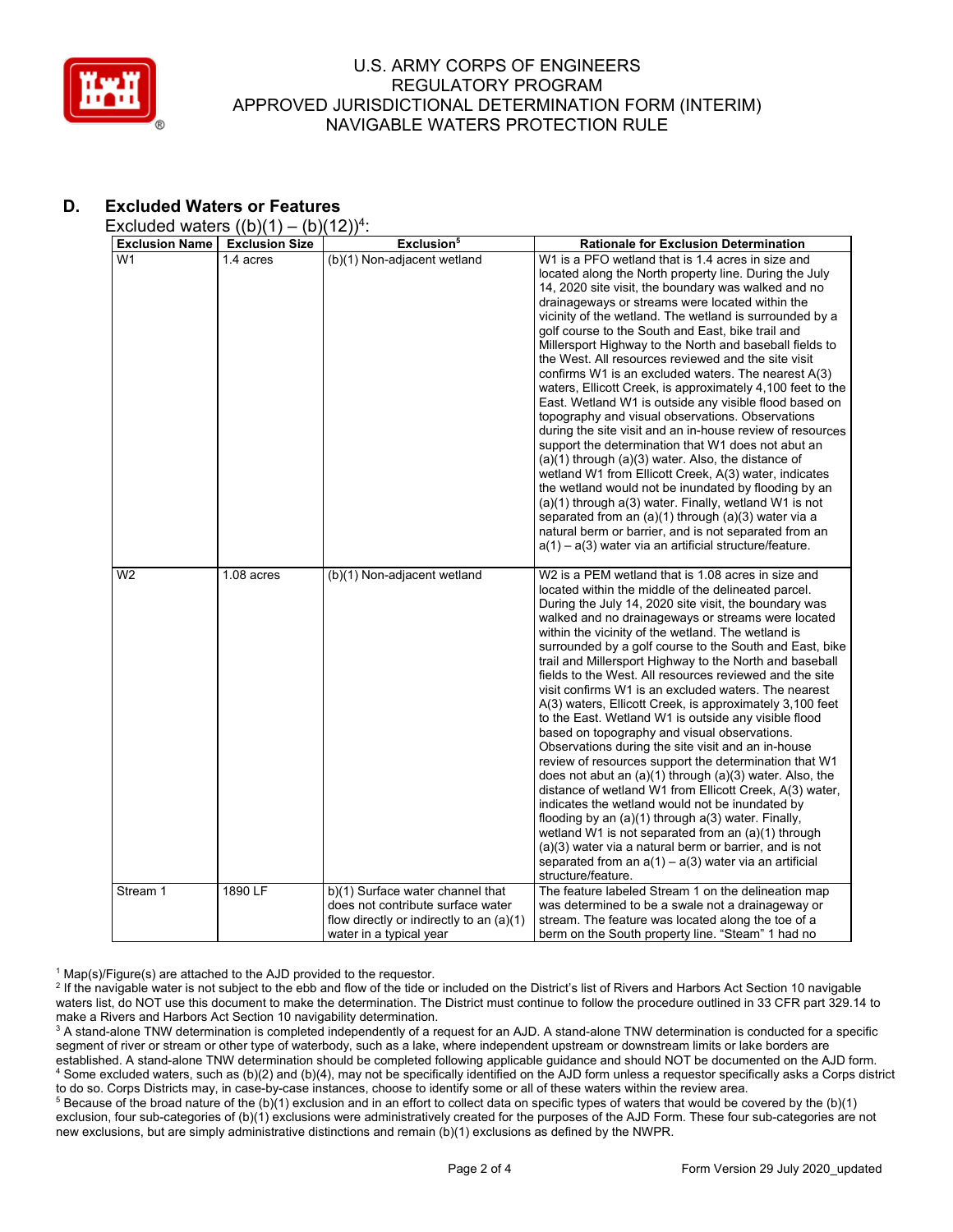

# **D. Excluded Waters or Features**

Excluded waters  $((b)(1) - (b)(12))^4$ :

| <b>Exclusion Name</b> | <b>Exclusion Size</b> | Exclusion <sup>5</sup>                                                | <b>Rationale for Exclusion Determination</b>                                                                                                                                                                                                                                                                                                                                                                                                                                                                                                                                                                                                                                                                                                                                                                                                                                                                                                                                                                                                                                                                                                                                                                                                               |
|-----------------------|-----------------------|-----------------------------------------------------------------------|------------------------------------------------------------------------------------------------------------------------------------------------------------------------------------------------------------------------------------------------------------------------------------------------------------------------------------------------------------------------------------------------------------------------------------------------------------------------------------------------------------------------------------------------------------------------------------------------------------------------------------------------------------------------------------------------------------------------------------------------------------------------------------------------------------------------------------------------------------------------------------------------------------------------------------------------------------------------------------------------------------------------------------------------------------------------------------------------------------------------------------------------------------------------------------------------------------------------------------------------------------|
| W <sub>1</sub>        | 1.4 acres             | (b)(1) Non-adjacent wetland                                           | W1 is a PFO wetland that is 1.4 acres in size and<br>located along the North property line. During the July<br>14, 2020 site visit, the boundary was walked and no<br>drainageways or streams were located within the<br>vicinity of the wetland. The wetland is surrounded by a<br>golf course to the South and East, bike trail and<br>Millersport Highway to the North and baseball fields to<br>the West. All resources reviewed and the site visit<br>confirms W1 is an excluded waters. The nearest A(3)<br>waters, Ellicott Creek, is approximately 4,100 feet to the<br>East. Wetland W1 is outside any visible flood based on<br>topography and visual observations. Observations<br>during the site visit and an in-house review of resources<br>support the determination that W1 does not abut an<br>$(a)(1)$ through $(a)(3)$ water. Also, the distance of<br>wetland W1 from Ellicott Creek, A(3) water, indicates<br>the wetland would not be inundated by flooding by an<br>$(a)(1)$ through $a(3)$ water. Finally, wetland W1 is not<br>separated from an $(a)(1)$ through $(a)(3)$ water via a<br>natural berm or barrier, and is not separated from an<br>a(1) – a(3) water via an artificial structure/feature.                        |
| W <sub>2</sub>        | 1.08 acres            | (b)(1) Non-adjacent wetland                                           | W <sub>2</sub> is a PEM wetland that is 1.08 acres in size and<br>located within the middle of the delineated parcel.<br>During the July 14, 2020 site visit, the boundary was<br>walked and no drainageways or streams were located<br>within the vicinity of the wetland. The wetland is<br>surrounded by a golf course to the South and East, bike<br>trail and Millersport Highway to the North and baseball<br>fields to the West. All resources reviewed and the site<br>visit confirms W1 is an excluded waters. The nearest<br>A(3) waters, Ellicott Creek, is approximately 3,100 feet<br>to the East. Wetland W1 is outside any visible flood<br>based on topography and visual observations.<br>Observations during the site visit and an in-house<br>review of resources support the determination that W1<br>does not abut an $(a)(1)$ through $(a)(3)$ water. Also, the<br>distance of wetland W1 from Ellicott Creek, A(3) water,<br>indicates the wetland would not be inundated by<br>flooding by an (a)(1) through a(3) water. Finally,<br>wetland W1 is not separated from an (a)(1) through<br>(a)(3) water via a natural berm or barrier, and is not<br>separated from an $a(1) - a(3)$ water via an artificial<br>structure/feature. |
| Stream 1              | 1890 LF               | b)(1) Surface water channel that                                      | The feature labeled Stream 1 on the delineation map                                                                                                                                                                                                                                                                                                                                                                                                                                                                                                                                                                                                                                                                                                                                                                                                                                                                                                                                                                                                                                                                                                                                                                                                        |
|                       |                       | does not contribute surface water                                     | was determined to be a swale not a drainageway or                                                                                                                                                                                                                                                                                                                                                                                                                                                                                                                                                                                                                                                                                                                                                                                                                                                                                                                                                                                                                                                                                                                                                                                                          |
|                       |                       | flow directly or indirectly to an $(a)(1)$<br>water in a typical year | stream. The feature was located along the toe of a<br>berm on the South property line. "Steam" 1 had no                                                                                                                                                                                                                                                                                                                                                                                                                                                                                                                                                                                                                                                                                                                                                                                                                                                                                                                                                                                                                                                                                                                                                    |

 $1$  Map(s)/Figure(s) are attached to the AJD provided to the requestor.

<sup>2</sup> If the navigable water is not subject to the ebb and flow of the tide or included on the District's list of Rivers and Harbors Act Section 10 navigable waters list, do NOT use this document to make the determination. The District must continue to follow the procedure outlined in 33 CFR part 329.14 to make a Rivers and Harbors Act Section 10 navigability determination.

<sup>3</sup> A stand-alone TNW determination is completed independently of a request for an AJD. A stand-alone TNW determination is conducted for a specific segment of river or stream or other type of waterbody, such as a lake, where independent upstream or downstream limits or lake borders are established. A stand-alone TNW determination should be completed following applicable guidance and should NOT be documented on the AJD form. <sup>4</sup> Some excluded waters, such as (b)(2) and (b)(4), may not be specifically identified on the AJD form unless a requestor specifically asks a Corps district to do so. Corps Districts may, in case-by-case instances, choose to identify some or all of these waters within the review area.

<sup>5</sup> Because of the broad nature of the (b)(1) exclusion and in an effort to collect data on specific types of waters that would be covered by the (b)(1) exclusion, four sub-categories of (b)(1) exclusions were administratively created for the purposes of the AJD Form. These four sub-categories are not new exclusions, but are simply administrative distinctions and remain (b)(1) exclusions as defined by the NWPR.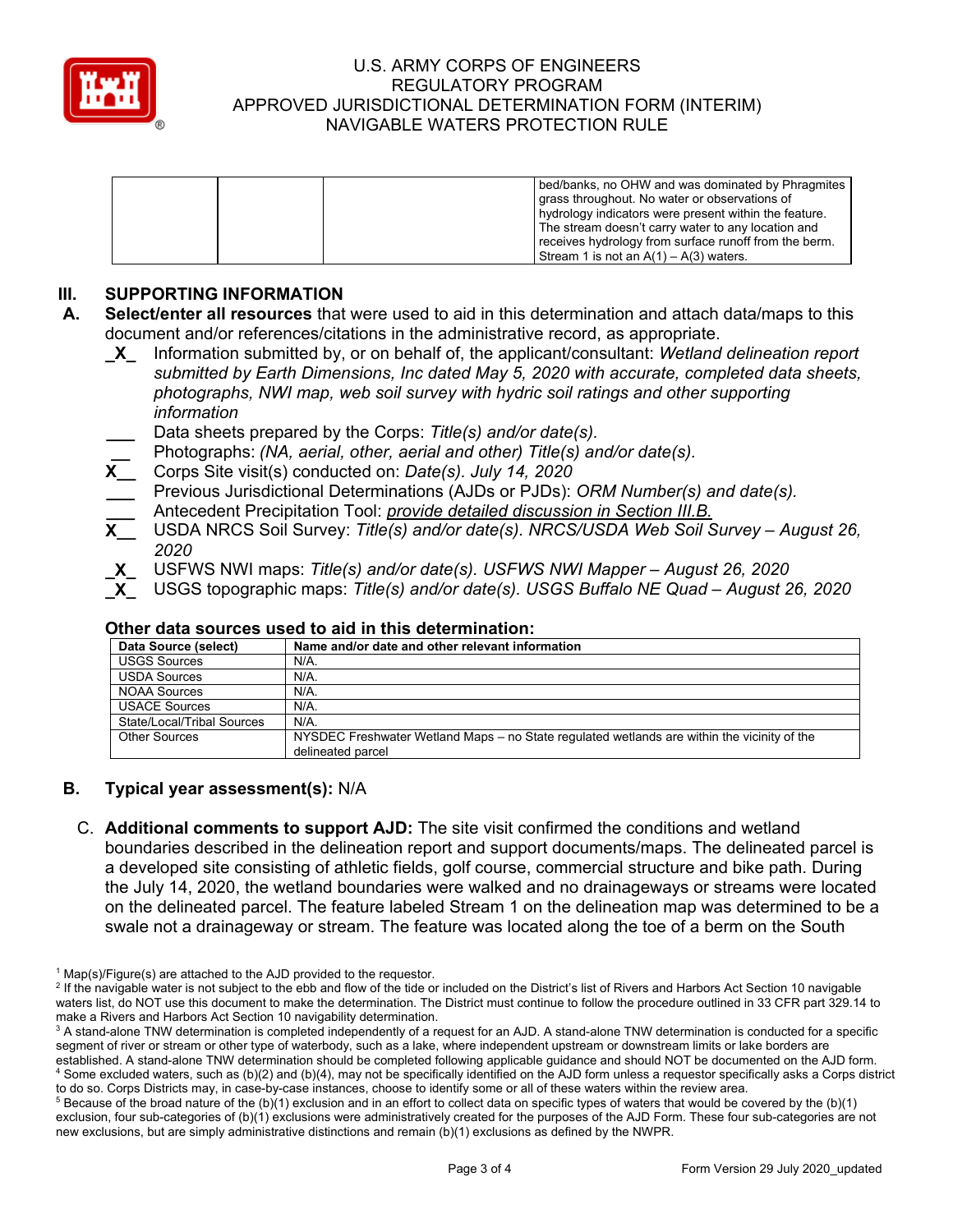

| bed/banks, no OHW and was dominated by Phragmites<br>grass throughout. No water or observations of<br>hydrology indicators were present within the feature.<br>The stream doesn't carry water to any location and<br>receives hydrology from surface runoff from the berm. |
|----------------------------------------------------------------------------------------------------------------------------------------------------------------------------------------------------------------------------------------------------------------------------|
| Stream 1 is not an $A(1) - A(3)$ waters.                                                                                                                                                                                                                                   |

# **III. SUPPORTING INFORMATION**

- **\_X\_** Information submitted by, or on behalf of, the applicant/consultant: *Wetland delineation report submitted by Earth Dimensions, Inc dated May 5, 2020 with accurate, completed data sheets, photographs, NWI map, web soil survey with hydric soil ratings and other supporting information*
- **\_\_\_** Data sheets prepared by the Corps: *Title(s) and/or date(s).*
- **\_\_** Photographs: *(NA, aerial, other, aerial and other) Title(s) and/or date(s).*
- **X\_\_** Corps Site visit(s) conducted on: *Date(s). July 14, 2020*
- **\_\_\_** Previous Jurisdictional Determinations (AJDs or PJDs): *ORM Number(s) and date(s).*
- **\_\_\_** Antecedent Precipitation Tool: *provide detailed discussion in Section III.B.*
- **X\_\_** USDA NRCS Soil Survey: *Title(s) and/or date(s). NRCS/USDA Web Soil Survey – August 26, 2020*
- **\_X\_** USFWS NWI maps: *Title(s) and/or date(s). USFWS NWI Mapper – August 26, 2020*
- **\_X\_** USGS topographic maps: *Title(s) and/or date(s). USGS Buffalo NE Quad – August 26, 2020*

| Data Source (select)       | Name and/or date and other relevant information                                                                  |
|----------------------------|------------------------------------------------------------------------------------------------------------------|
| <b>USGS Sources</b>        | N/A.                                                                                                             |
| <b>USDA Sources</b>        | N/A.                                                                                                             |
| <b>NOAA Sources</b>        | N/A.                                                                                                             |
| <b>USACE Sources</b>       | N/A.                                                                                                             |
| State/Local/Tribal Sources | N/A.                                                                                                             |
| <b>Other Sources</b>       | NYSDEC Freshwater Wetland Maps – no State regulated wetlands are within the vicinity of the<br>delineated parcel |

#### **Other data sources used to aid in this determination:**

### **B. Typical year assessment(s):** N/A

C. **Additional comments to support AJD:** The site visit confirmed the conditions and wetland boundaries described in the delineation report and support documents/maps. The delineated parcel is a developed site consisting of athletic fields, golf course, commercial structure and bike path. During the July 14, 2020, the wetland boundaries were walked and no drainageways or streams were located on the delineated parcel. The feature labeled Stream 1 on the delineation map was determined to be a swale not a drainageway or stream. The feature was located along the toe of a berm on the South

**A. Select/enter all resources** that were used to aid in this determination and attach data/maps to this document and/or references/citations in the administrative record, as appropriate.

 $1$  Map(s)/Figure(s) are attached to the AJD provided to the requestor.

<sup>&</sup>lt;sup>2</sup> If the navigable water is not subject to the ebb and flow of the tide or included on the District's list of Rivers and Harbors Act Section 10 navigable waters list, do NOT use this document to make the determination. The District must continue to follow the procedure outlined in 33 CFR part 329.14 to make a Rivers and Harbors Act Section 10 navigability determination.

<sup>&</sup>lt;sup>3</sup> A stand-alone TNW determination is completed independently of a request for an AJD. A stand-alone TNW determination is conducted for a specific segment of river or stream or other type of waterbody, such as a lake, where independent upstream or downstream limits or lake borders are established. A stand-alone TNW determination should be completed following applicable guidance and should NOT be documented on the AJD form. <sup>4</sup> Some excluded waters, such as (b)(2) and (b)(4), may not be specifically identified on the AJD form unless a requestor specifically asks a Corps district to do so. Corps Districts may, in case-by-case instances, choose to identify some or all of these waters within the review area.

 $5$  Because of the broad nature of the (b)(1) exclusion and in an effort to collect data on specific types of waters that would be covered by the (b)(1) exclusion, four sub-categories of (b)(1) exclusions were administratively created for the purposes of the AJD Form. These four sub-categories are not new exclusions, but are simply administrative distinctions and remain (b)(1) exclusions as defined by the NWPR.